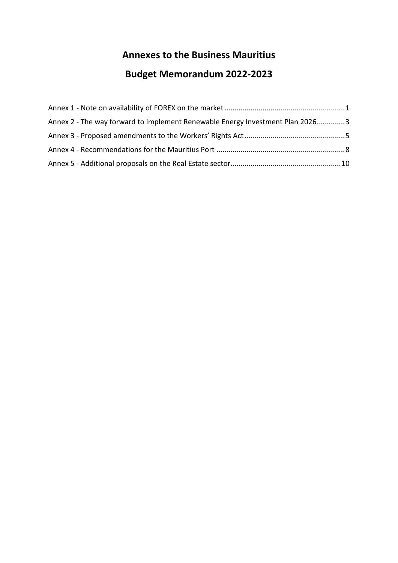# **Annexes to the Business Mauritius**

# **Budget Memorandum 2022-2023**

| Annex 2 - The way forward to implement Renewable Energy Investment Plan 20263 |  |
|-------------------------------------------------------------------------------|--|
|                                                                               |  |
|                                                                               |  |
|                                                                               |  |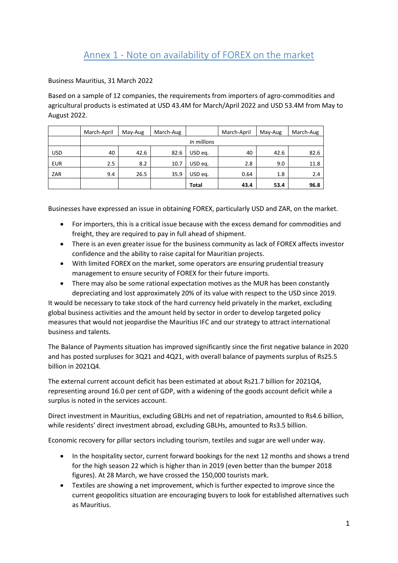<span id="page-1-0"></span>Business Mauritius, 31 March 2022

Based on a sample of 12 companies, the requirements from importers of agro-commodities and agricultural products is estimated at USD 43.4M for March/April 2022 and USD 53.4M from May to August 2022.

|            | March-April | May-Aug | March-Aug |             | March-April | May-Aug | March-Aug |
|------------|-------------|---------|-----------|-------------|-------------|---------|-----------|
|            |             |         |           | In millions |             |         |           |
| <b>USD</b> | 40          | 42.6    | 82.6      | USD eq.     | 40          | 42.6    | 82.6      |
| <b>EUR</b> | 2.5         | 8.2     | 10.7      | USD eg.     | 2.8         | 9.0     | 11.8      |
| ZAR        | 9.4         | 26.5    | 35.9      | USD eq.     | 0.64        | 1.8     | 2.4       |
|            |             |         |           | Total       | 43.4        | 53.4    | 96.8      |

Businesses have expressed an issue in obtaining FOREX, particularly USD and ZAR, on the market.

- For importers, this is a critical issue because with the excess demand for commodities and freight, they are required to pay in full ahead of shipment.
- There is an even greater issue for the business community as lack of FOREX affects investor confidence and the ability to raise capital for Mauritian projects.
- With limited FOREX on the market, some operators are ensuring prudential treasury management to ensure security of FOREX for their future imports.
- There may also be some rational expectation motives as the MUR has been constantly depreciating and lost approximately 20% of its value with respect to the USD since 2019.

It would be necessary to take stock of the hard currency held privately in the market, excluding global business activities and the amount held by sector in order to develop targeted policy measures that would not jeopardise the Mauritius IFC and our strategy to attract international business and talents.

The Balance of Payments situation has improved significantly since the first negative balance in 2020 and has posted surpluses for 3Q21 and 4Q21, with overall balance of payments surplus of Rs25.5 billion in 2021Q4.

The external current account deficit has been estimated at about Rs21.7 billion for 2021Q4, representing around 16.0 per cent of GDP, with a widening of the goods account deficit while a surplus is noted in the services account.

Direct investment in Mauritius, excluding GBLHs and net of repatriation, amounted to Rs4.6 billion, while residents' direct investment abroad, excluding GBLHs, amounted to Rs3.5 billion.

Economic recovery for pillar sectors including tourism, textiles and sugar are well under way.

- In the hospitality sector, current forward bookings for the next 12 months and shows a trend for the high season 22 which is higher than in 2019 (even better than the bumper 2018 figures). At 28 March, we have crossed the 150,000 tourists mark.
- Textiles are showing a net improvement, which is further expected to improve since the current geopolitics situation are encouraging buyers to look for established alternatives such as Mauritius.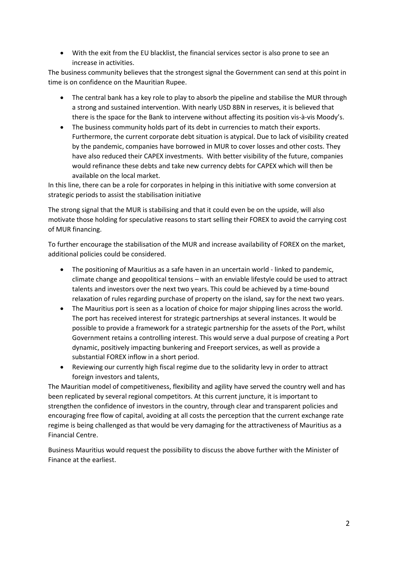With the exit from the EU blacklist, the financial services sector is also prone to see an increase in activities.

The business community believes that the strongest signal the Government can send at this point in time is on confidence on the Mauritian Rupee.

- The central bank has a key role to play to absorb the pipeline and stabilise the MUR through a strong and sustained intervention. With nearly USD 8BN in reserves, it is believed that there is the space for the Bank to intervene without affecting its position vis-à-vis Moody's.
- The business community holds part of its debt in currencies to match their exports. Furthermore, the current corporate debt situation is atypical. Due to lack of visibility created by the pandemic, companies have borrowed in MUR to cover losses and other costs. They have also reduced their CAPEX investments. With better visibility of the future, companies would refinance these debts and take new currency debts for CAPEX which will then be available on the local market.

In this line, there can be a role for corporates in helping in this initiative with some conversion at strategic periods to assist the stabilisation initiative

The strong signal that the MUR is stabilising and that it could even be on the upside, will also motivate those holding for speculative reasons to start selling their FOREX to avoid the carrying cost of MUR financing.

To further encourage the stabilisation of the MUR and increase availability of FOREX on the market, additional policies could be considered.

- The positioning of Mauritius as a safe haven in an uncertain world linked to pandemic, climate change and geopolitical tensions – with an enviable lifestyle could be used to attract talents and investors over the next two years. This could be achieved by a time-bound relaxation of rules regarding purchase of property on the island, say for the next two years.
- The Mauritius port is seen as a location of choice for major shipping lines across the world. The port has received interest for strategic partnerships at several instances. It would be possible to provide a framework for a strategic partnership for the assets of the Port, whilst Government retains a controlling interest. This would serve a dual purpose of creating a Port dynamic, positively impacting bunkering and Freeport services, as well as provide a substantial FOREX inflow in a short period.
- Reviewing our currently high fiscal regime due to the solidarity levy in order to attract foreign investors and talents,

The Mauritian model of competitiveness, flexibility and agility have served the country well and has been replicated by several regional competitors. At this current juncture, it is important to strengthen the confidence of investors in the country, through clear and transparent policies and encouraging free flow of capital, avoiding at all costs the perception that the current exchange rate regime is being challenged as that would be very damaging for the attractiveness of Mauritius as a Financial Centre.

Business Mauritius would request the possibility to discuss the above further with the Minister of Finance at the earliest.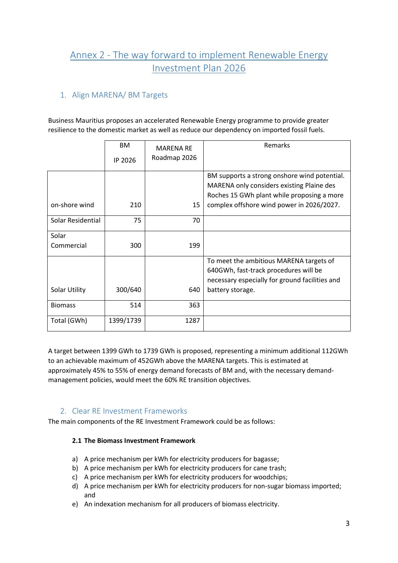# <span id="page-3-0"></span>Annex 2 - The way forward to implement Renewable Energy Investment Plan 2026

## 1. Align MARENA/ BM Targets

Business Mauritius proposes an accelerated Renewable Energy programme to provide greater resilience to the domestic market as well as reduce our dependency on imported fossil fuels.

|                   | BM.       | <b>MARENA RE</b> | Remarks                                                                                   |
|-------------------|-----------|------------------|-------------------------------------------------------------------------------------------|
|                   | IP 2026   | Roadmap 2026     |                                                                                           |
|                   |           |                  | BM supports a strong onshore wind potential.<br>MARENA only considers existing Plaine des |
|                   |           |                  | Roches 15 GWh plant while proposing a more                                                |
| on-shore wind     | 210       | 15               | complex offshore wind power in 2026/2027.                                                 |
| Solar Residential | 75        | 70               |                                                                                           |
| Solar             |           |                  |                                                                                           |
| Commercial        | 300       | 199              |                                                                                           |
|                   |           |                  | To meet the ambitious MARENA targets of                                                   |
|                   |           |                  | 640GWh, fast-track procedures will be                                                     |
|                   |           |                  | necessary especially for ground facilities and                                            |
| Solar Utility     | 300/640   | 640              | battery storage.                                                                          |
| <b>Biomass</b>    | 514       | 363              |                                                                                           |
| Total (GWh)       | 1399/1739 | 1287             |                                                                                           |

A target between 1399 GWh to 1739 GWh is proposed, representing a minimum additional 112GWh to an achievable maximum of 452GWh above the MARENA targets. This is estimated at approximately 45% to 55% of energy demand forecasts of BM and, with the necessary demandmanagement policies, would meet the 60% RE transition objectives.

### 2. Clear RE Investment Frameworks

The main components of the RE Investment Framework could be as follows:

#### **2.1 The Biomass Investment Framework**

- a) A price mechanism per kWh for electricity producers for bagasse;
- b) A price mechanism per kWh for electricity producers for cane trash;
- c) A price mechanism per kWh for electricity producers for woodchips;
- d) A price mechanism per kWh for electricity producers for non-sugar biomass imported; and
- e) An indexation mechanism for all producers of biomass electricity.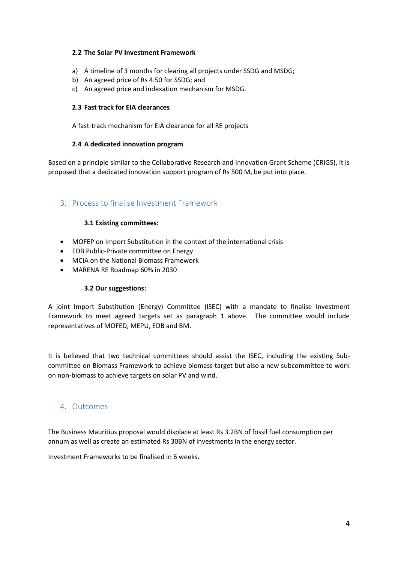#### **2.2 The Solar PV Investment Framework**

- a) A timeline of 3 months for clearing all projects under SSDG and MSDG;
- b) An agreed price of Rs 4.50 for SSDG; and
- c) An agreed price and indexation mechanism for MSDG.

#### **2.3 Fast track for EIA clearances**

A fast-track mechanism for EIA clearance for all RE projects

#### **2.4 A dedicated innovation program**

Based on a principle similar to the Collaborative Research and Innovation Grant Scheme (CRIGS), it is proposed that a dedicated innovation support program of Rs 500 M, be put into place.

### 3. Process to finalise Investment Framework

#### **3.1 Existing committees:**

- MOFEP on Import Substitution in the context of the international crisis
- EDB Public-Private committee on Energy
- MCIA on the National Biomass Framework
- MARENA RE Roadmap 60% in 2030

#### **3.2 Our suggestions:**

A joint Import Substitution (Energy) Committee (ISEC) with a mandate to finalise Investment Framework to meet agreed targets set as paragraph 1 above. The committee would include representatives of MOFED, MEPU, EDB and BM.

It is believed that two technical committees should assist the ISEC, including the existing Subcommittee on Biomass Framework to achieve biomass target but also a new subcommittee to work on non-biomass to achieve targets on solar PV and wind.

#### 4. Outcomes

The Business Mauritius proposal would displace at least Rs 3.2BN of fossil fuel consumption per annum as well as create an estimated Rs 30BN of investments in the energy sector.

Investment Frameworks to be finalised in 6 weeks.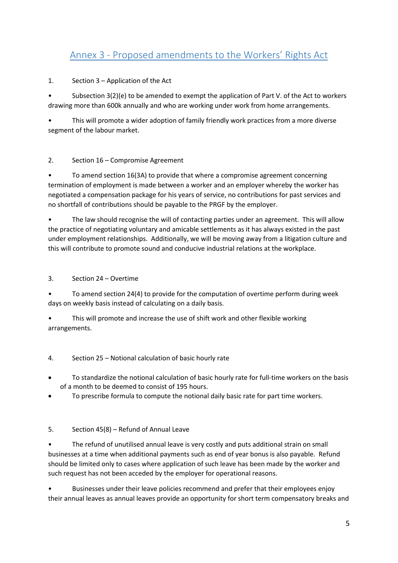# <span id="page-5-0"></span>Annex 3 - Proposed amendments to the Workers' Rights Act

### 1. Section 3 – Application of the Act

• Subsection 3(2)(e) to be amended to exempt the application of Part V. of the Act to workers drawing more than 600k annually and who are working under work from home arrangements.

• This will promote a wider adoption of family friendly work practices from a more diverse segment of the labour market.

### 2. Section 16 – Compromise Agreement

• To amend section 16(3A) to provide that where a compromise agreement concerning termination of employment is made between a worker and an employer whereby the worker has negotiated a compensation package for his years of service, no contributions for past services and no shortfall of contributions should be payable to the PRGF by the employer.

• The law should recognise the will of contacting parties under an agreement. This will allow the practice of negotiating voluntary and amicable settlements as it has always existed in the past under employment relationships. Additionally, we will be moving away from a litigation culture and this will contribute to promote sound and conducive industrial relations at the workplace.

#### 3. Section 24 – Overtime

• To amend section 24(4) to provide for the computation of overtime perform during week days on weekly basis instead of calculating on a daily basis.

• This will promote and increase the use of shift work and other flexible working arrangements.

### 4. Section 25 – Notional calculation of basic hourly rate

- To standardize the notional calculation of basic hourly rate for full-time workers on the basis of a month to be deemed to consist of 195 hours.
- To prescribe formula to compute the notional daily basic rate for part time workers.

#### 5. Section 45(8) – Refund of Annual Leave

• The refund of unutilised annual leave is very costly and puts additional strain on small businesses at a time when additional payments such as end of year bonus is also payable. Refund should be limited only to cases where application of such leave has been made by the worker and such request has not been acceded by the employer for operational reasons.

• Businesses under their leave policies recommend and prefer that their employees enjoy their annual leaves as annual leaves provide an opportunity for short term compensatory breaks and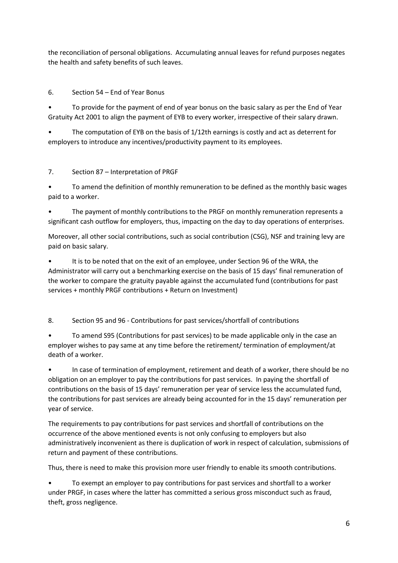the reconciliation of personal obligations. Accumulating annual leaves for refund purposes negates the health and safety benefits of such leaves.

6. Section 54 – End of Year Bonus

• To provide for the payment of end of year bonus on the basic salary as per the End of Year Gratuity Act 2001 to align the payment of EYB to every worker, irrespective of their salary drawn.

The computation of EYB on the basis of 1/12th earnings is costly and act as deterrent for employers to introduce any incentives/productivity payment to its employees.

## 7. Section 87 – Interpretation of PRGF

• To amend the definition of monthly remuneration to be defined as the monthly basic wages paid to a worker.

• The payment of monthly contributions to the PRGF on monthly remuneration represents a significant cash outflow for employers, thus, impacting on the day to day operations of enterprises.

Moreover, all other social contributions, such as social contribution (CSG), NSF and training levy are paid on basic salary.

It is to be noted that on the exit of an employee, under Section 96 of the WRA, the Administrator will carry out a benchmarking exercise on the basis of 15 days' final remuneration of the worker to compare the gratuity payable against the accumulated fund (contributions for past services + monthly PRGF contributions + Return on Investment)

8. Section 95 and 96 - Contributions for past services/shortfall of contributions

• To amend S95 (Contributions for past services) to be made applicable only in the case an employer wishes to pay same at any time before the retirement/ termination of employment/at death of a worker.

• In case of termination of employment, retirement and death of a worker, there should be no obligation on an employer to pay the contributions for past services. In paying the shortfall of contributions on the basis of 15 days' remuneration per year of service less the accumulated fund, the contributions for past services are already being accounted for in the 15 days' remuneration per year of service.

The requirements to pay contributions for past services and shortfall of contributions on the occurrence of the above mentioned events is not only confusing to employers but also administratively inconvenient as there is duplication of work in respect of calculation, submissions of return and payment of these contributions.

Thus, there is need to make this provision more user friendly to enable its smooth contributions.

• To exempt an employer to pay contributions for past services and shortfall to a worker under PRGF, in cases where the latter has committed a serious gross misconduct such as fraud, theft, gross negligence.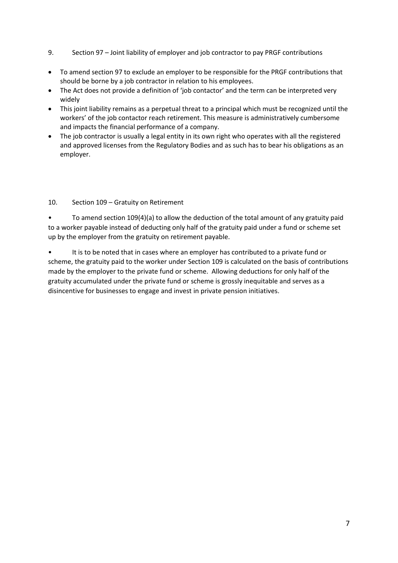- 9. Section 97 Joint liability of employer and job contractor to pay PRGF contributions
- To amend section 97 to exclude an employer to be responsible for the PRGF contributions that should be borne by a job contractor in relation to his employees.
- The Act does not provide a definition of 'job contactor' and the term can be interpreted very widely
- This joint liability remains as a perpetual threat to a principal which must be recognized until the workers' of the job contactor reach retirement. This measure is administratively cumbersome and impacts the financial performance of a company.
- The job contractor is usually a legal entity in its own right who operates with all the registered and approved licenses from the Regulatory Bodies and as such has to bear his obligations as an employer.

#### 10. Section 109 – Gratuity on Retirement

• To amend section 109(4)(a) to allow the deduction of the total amount of any gratuity paid to a worker payable instead of deducting only half of the gratuity paid under a fund or scheme set up by the employer from the gratuity on retirement payable.

• It is to be noted that in cases where an employer has contributed to a private fund or scheme, the gratuity paid to the worker under Section 109 is calculated on the basis of contributions made by the employer to the private fund or scheme. Allowing deductions for only half of the gratuity accumulated under the private fund or scheme is grossly inequitable and serves as a disincentive for businesses to engage and invest in private pension initiatives.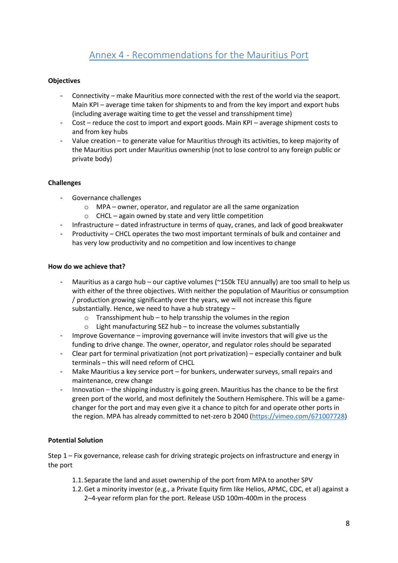# Annex 4 - Recommendations for the Mauritius Port

#### <span id="page-8-0"></span>**Objectives**

- Connectivity make Mauritius more connected with the rest of the world via the seaport. Main KPI – average time taken for shipments to and from the key import and export hubs (including average waiting time to get the vessel and transshipment time)
- Cost reduce the cost to import and export goods. Main KPI average shipment costs to and from key hubs
- Value creation to generate value for Mauritius through its activities, to keep majority of the Mauritius port under Mauritius ownership (not to lose control to any foreign public or private body)

#### **Challenges**

- Governance challenges
	- o MPA owner, operator, and regulator are all the same organization
	- o CHCL again owned by state and very little competition
- Infrastructure dated infrastructure in terms of quay, cranes, and lack of good breakwater
- Productivity CHCL operates the two most important terminals of bulk and container and has very low productivity and no competition and low incentives to change

#### **How do we achieve that?**

- Mauritius as a cargo hub our captive volumes ( $\sim$ 150k TEU annually) are too small to help us with either of the three objectives. With neither the population of Mauritius or consumption / production growing significantly over the years, we will not increase this figure substantially. Hence, we need to have a hub strategy –
	- $\circ$  Transshipment hub to help transship the volumes in the region
	- $\circ$  Light manufacturing SEZ hub to increase the volumes substantially
- Improve Governance improving governance will invite investors that will give us the funding to drive change. The owner, operator, and regulator roles should be separated
- Clear part for terminal privatization (not port privatization) especially container and bulk terminals – this will need reform of CHCL
- Make Mauritius a key service port for bunkers, underwater surveys, small repairs and maintenance, crew change
- Innovation the shipping industry is going green. Mauritius has the chance to be the first green port of the world, and most definitely the Southern Hemisphere. This will be a gamechanger for the port and may even give it a chance to pitch for and operate other ports in the region. MPA has already committed to net-zero b 2040 [\(https://vimeo.com/671007728\)](https://vimeo.com/671007728)

#### **Potential Solution**

Step 1 – Fix governance, release cash for driving strategic projects on infrastructure and energy in the port

- 1.1.Separate the land and asset ownership of the port from MPA to another SPV
- 1.2.Get a minority investor (e.g., a Private Equity firm like Helios, APMC, CDC, et al) against a 2–4-year reform plan for the port. Release USD 100m-400m in the process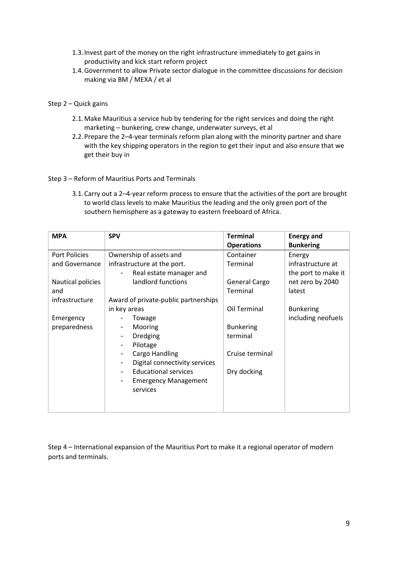- 1.3.Invest part of the money on the right infrastructure immediately to get gains in productivity and kick start reform project
- 1.4.Government to allow Private sector dialogue in the committee discussions for decision making via BM / MEXA / et al

#### Step 2 – Quick gains

- 2.1.Make Mauritius a service hub by tendering for the right services and doing the right marketing – bunkering, crew change, underwater surveys, et al
- 2.2.Prepare the 2–4-year terminals reform plan along with the minority partner and share with the key shipping operators in the region to get their input and also ensure that we get their buy in

#### Step 3 – Reform of Mauritius Ports and Terminals

3.1.Carry out a 2–4-year reform process to ensure that the activities of the port are brought to world class levels to make Mauritius the leading and the only green port of the southern hemisphere as a gateway to eastern freeboard of Africa.

| <b>MPA</b>        | <b>SPV</b>                           | <b>Terminal</b>   | <b>Energy and</b>   |
|-------------------|--------------------------------------|-------------------|---------------------|
|                   |                                      | <b>Operations</b> | <b>Bunkering</b>    |
| Port Policies     | Ownership of assets and              | Container         | Energy              |
| and Governance    | infrastructure at the port.          | Terminal          | infrastructure at   |
|                   | Real estate manager and              |                   | the port to make it |
| Nautical policies | landlord functions                   | General Cargo     | net zero by 2040    |
| and               |                                      | Terminal          | latest              |
| infrastructure    | Award of private-public partnerships |                   |                     |
|                   | in key areas                         | Oil Terminal      | <b>Bunkering</b>    |
| Emergency         | Towage                               |                   | including neofuels  |
| preparedness      | Mooring<br>-                         | <b>Bunkering</b>  |                     |
|                   | Dredging                             | terminal          |                     |
|                   | Pilotage                             |                   |                     |
|                   | Cargo Handling<br>-                  | Cruise terminal   |                     |
|                   | Digital connectivity services        |                   |                     |
|                   | <b>Educational services</b>          | Dry docking       |                     |
|                   | <b>Emergency Management</b><br>-     |                   |                     |
|                   | services                             |                   |                     |
|                   |                                      |                   |                     |
|                   |                                      |                   |                     |

Step 4 – International expansion of the Mauritius Port to make it a regional operator of modern ports and terminals.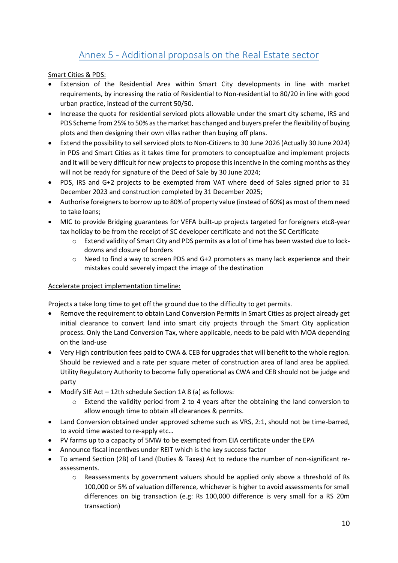# Annex 5 - Additional proposals on the Real Estate sector

<span id="page-10-0"></span>Smart Cities & PDS:

- Extension of the Residential Area within Smart City developments in line with market requirements, by increasing the ratio of Residential to Non-residential to 80/20 in line with good urban practice, instead of the current 50/50.
- Increase the quota for residential serviced plots allowable under the smart city scheme, IRS and PDS Scheme from 25% to 50% as the market has changed and buyers prefer the flexibility of buying plots and then designing their own villas rather than buying off plans.
- Extend the possibility to sell serviced plots to Non-Citizens to 30 June 2026 (Actually 30 June 2024) in PDS and Smart Cities as it takes time for promoters to conceptualize and implement projects and it will be very difficult for new projects to propose this incentive in the coming months as they will not be ready for signature of the Deed of Sale by 30 June 2024;
- PDS, IRS and G+2 projects to be exempted from VAT where deed of Sales signed prior to 31 December 2023 and construction completed by 31 December 2025;
- Authorise foreigners to borrow up to 80% of property value (instead of 60%) as most of them need to take loans;
- MIC to provide Bridging guarantees for VEFA built-up projects targeted for foreigners etc8-year tax holiday to be from the receipt of SC developer certificate and not the SC Certificate
	- o Extend validity of Smart City and PDS permits as a lot of time has been wasted due to lockdowns and closure of borders
	- o Need to find a way to screen PDS and G+2 promoters as many lack experience and their mistakes could severely impact the image of the destination

### Accelerate project implementation timeline:

Projects a take long time to get off the ground due to the difficulty to get permits.

- Remove the requirement to obtain Land Conversion Permits in Smart Cities as project already get initial clearance to convert land into smart city projects through the Smart City application process. Only the Land Conversion Tax, where applicable, needs to be paid with MOA depending on the land-use
- Very High contribution fees paid to CWA & CEB for upgrades that will benefit to the whole region. Should be reviewed and a rate per square meter of construction area of land area be applied. Utility Regulatory Authority to become fully operational as CWA and CEB should not be judge and party
- Modify SIE Act 12th schedule Section 1A 8 (a) as follows:
	- o Extend the validity period from 2 to 4 years after the obtaining the land conversion to allow enough time to obtain all clearances & permits.
- Land Conversion obtained under approved scheme such as VRS, 2:1, should not be time-barred, to avoid time wasted to re-apply etc…
- PV farms up to a capacity of 5MW to be exempted from EIA certificate under the EPA
- Announce fiscal incentives under REIT which is the key success factor
- To amend Section (2B) of Land (Duties & Taxes) Act to reduce the number of non-significant reassessments.
	- o Reassessments by government valuers should be applied only above a threshold of Rs 100,000 or 5% of valuation difference, whichever is higher to avoid assessments for small differences on big transaction (e.g: Rs 100,000 difference is very small for a RS 20m transaction)